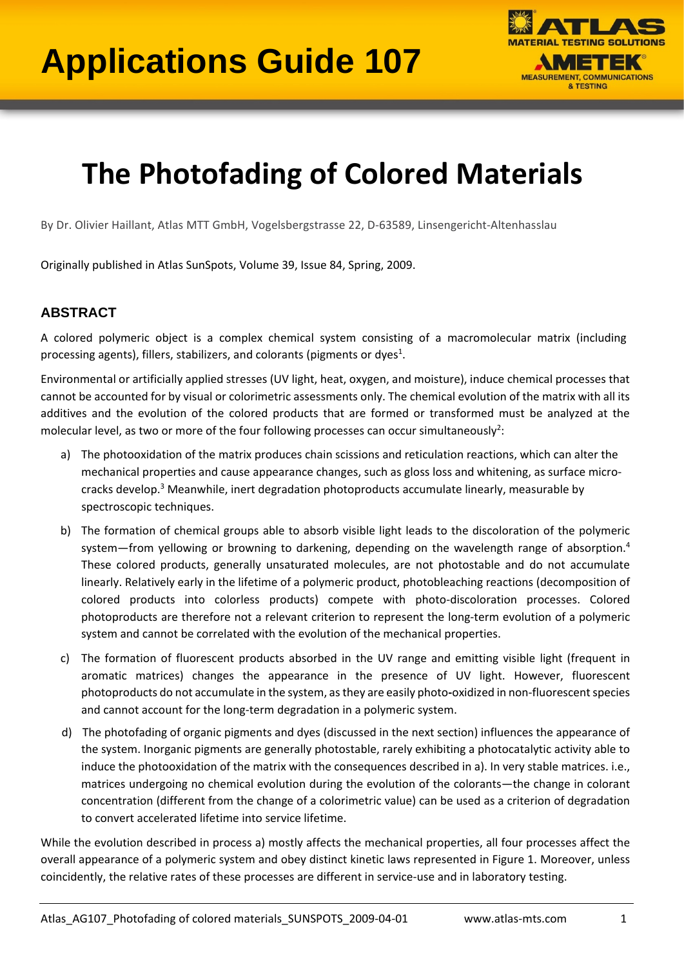

# **The Photofading of Colored Materials**

By Dr. Olivier Haillant, Atlas MTT GmbH, Vogelsbergstrasse 22, D-63589, Linsengericht-Altenhasslau

Originally published in Atlas SunSpots, Volume 39, Issue 84, Spring, 2009.

## **ABSTRACT**

A colored polymeric object is a complex chemical system consisting of a macromolecular matrix (including processing agents), fillers, stabilizers, and colorants (pigments or dyes $^1$ .

Environmental or artificially applied stresses (UV light, heat, oxygen, and moisture), induce chemical processes that cannot be accounted for by visual or colorimetric assessments only. The chemical evolution of the matrix with all its additives and the evolution of the colored products that are formed or transformed must be analyzed at the molecular level, as two or more of the four following processes can occur simultaneously<sup>2</sup>:

- a) The photooxidation of the matrix produces chain scissions and reticulation reactions, which can alter the mechanical properties and cause appearance changes, such as gloss loss and whitening, as surface microcracks develop.<sup>3</sup> Meanwhile, inert degradation photoproducts accumulate linearly, measurable by spectroscopic techniques.
- b) The formation of chemical groups able to absorb visible light leads to the discoloration of the polymeric system—from yellowing or browning to darkening, depending on the wavelength range of absorption.<sup>4</sup> These colored products, generally unsaturated molecules, are not photostable and do not accumulate linearly. Relatively early in the lifetime of a polymeric product, photobleaching reactions (decomposition of colored products into colorless products) compete with photo-discoloration processes. Colored photoproducts are therefore not a relevant criterion to represent the long-term evolution of a polymeric system and cannot be correlated with the evolution of the mechanical properties.
- c) The formation of fluorescent products absorbed in the UV range and emitting visible light (frequent in aromatic matrices) changes the appearance in the presence of UV light. However, fluorescent photoproducts do not accumulate in the system, as they are easily photo**-**oxidized in non-fluorescent species and cannot account for the long-term degradation in a polymeric system.
- d) The photofading of organic pigments and dyes (discussed in the next section) influences the appearance of the system. Inorganic pigments are generally photostable, rarely exhibiting a photocatalytic activity able to induce the photooxidation of the matrix with the consequences described in a). In very stable matrices. i.e., matrices undergoing no chemical evolution during the evolution of the colorants—the change in colorant concentration (different from the change of a colorimetric value) can be used as a criterion of degradation to convert accelerated lifetime into service lifetime.

While the evolution described in process a) mostly affects the mechanical properties, all four processes affect the overall appearance of a polymeric system and obey distinct kinetic laws represented in Figure 1. Moreover, unless coincidently, the relative rates of these processes are different in service-use and in laboratory testing.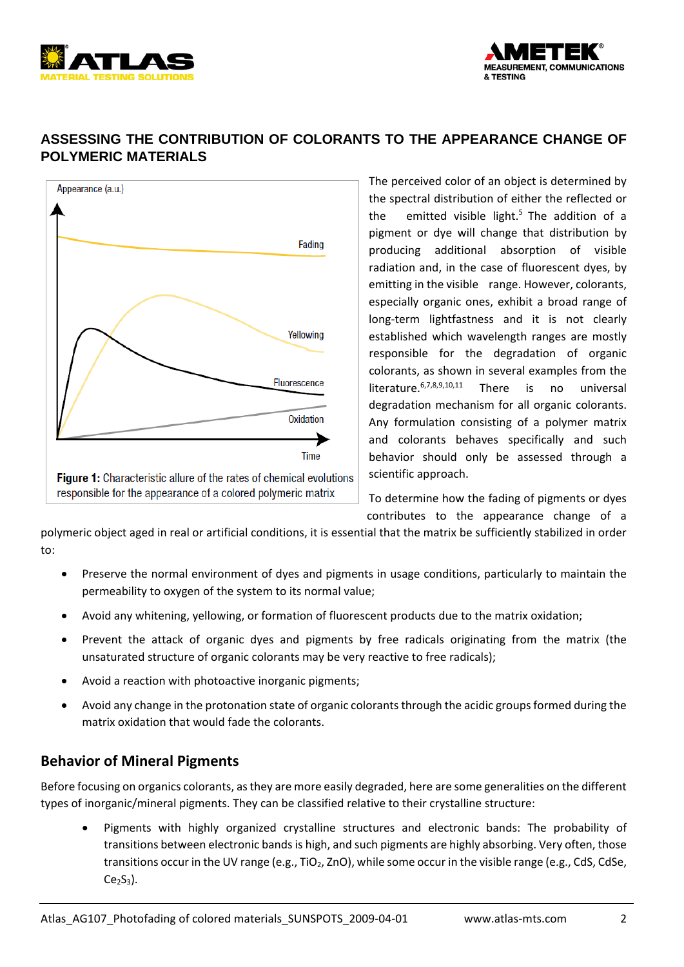



## **ASSESSING THE CONTRIBUTION OF COLORANTS TO THE APPEARANCE CHANGE OF POLYMERIC MATERIALS**



The perceived color of an object is determined by the spectral distribution of either the reflected or the emitted visible light.<sup>5</sup> The addition of a pigment or dye will change that distribution by producing additional absorption of visible radiation and, in the case of fluorescent dyes, by emitting in the visible range. However, colorants, especially organic ones, exhibit a broad range of long-term lightfastness and it is not clearly established which wavelength ranges are mostly responsible for the degradation of organic colorants, as shown in several examples from the literature.6,7,8,9,10,11 There is no universal degradation mechanism for all organic colorants. Any formulation consisting of a polymer matrix and colorants behaves specifically and such behavior should only be assessed through a scientific approach.

To determine how the fading of pigments or dyes contributes to the appearance change of a

polymeric object aged in real or artificial conditions, it is essential that the matrix be sufficiently stabilized in order to:

- Preserve the normal environment of dyes and pigments in usage conditions, particularly to maintain the permeability to oxygen of the system to its normal value;
- Avoid any whitening, yellowing, or formation of fluorescent products due to the matrix oxidation;
- Prevent the attack of organic dyes and pigments by free radicals originating from the matrix (the unsaturated structure of organic colorants may be very reactive to free radicals);
- Avoid a reaction with photoactive inorganic pigments;
- Avoid any change in the protonation state of organic colorants through the acidic groups formed during the matrix oxidation that would fade the colorants.

## **Behavior of Mineral Pigments**

Before focusing on organics colorants, as they are more easily degraded, here are some generalities on the different types of inorganic/mineral pigments. They can be classified relative to their crystalline structure:

• Pigments with highly organized crystalline structures and electronic bands: The probability of transitions between electronic bands is high, and such pigments are highly absorbing. Very often, those transitions occur in the UV range (e.g., TiO2, ZnO), while some occur in the visible range (e.g., CdS, CdSe,  $Ce<sub>2</sub>S<sub>3</sub>$ ).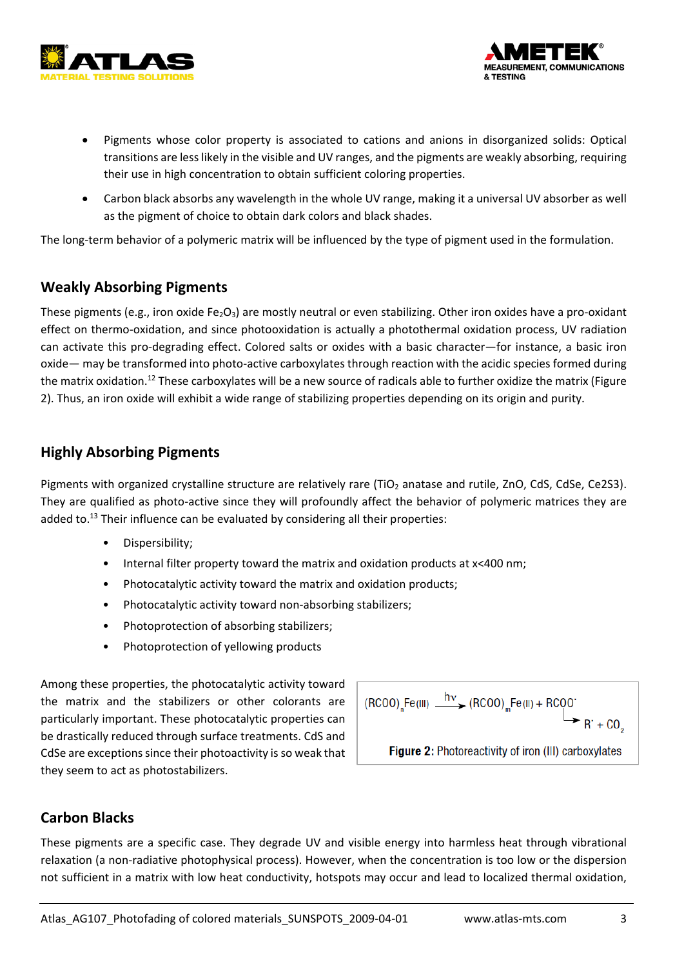



- Pigments whose color property is associated to cations and anions in disorganized solids: Optical transitions are less likely in the visible and UV ranges, and the pigments are weakly absorbing, requiring their use in high concentration to obtain sufficient coloring properties.
- Carbon black absorbs any wavelength in the whole UV range, making it a universal UV absorber as well as the pigment of choice to obtain dark colors and black shades.

The long-term behavior of a polymeric matrix will be influenced by the type of pigment used in the formulation.

# **Weakly Absorbing Pigments**

These pigments (e.g., iron oxide Fe<sub>2</sub>O<sub>3</sub>) are mostly neutral or even stabilizing. Other iron oxides have a pro-oxidant effect on thermo-oxidation, and since photooxidation is actually a photothermal oxidation process, UV radiation can activate this pro-degrading effect. Colored salts or oxides with a basic character—for instance, a basic iron oxide— may be transformed into photo-active carboxylates through reaction with the acidic species formed during the matrix oxidation.<sup>12</sup> These carboxylates will be a new source of radicals able to further oxidize the matrix (Figure 2). Thus, an iron oxide will exhibit a wide range of stabilizing properties depending on its origin and purity.

## **Highly Absorbing Pigments**

Pigments with organized crystalline structure are relatively rare (TiO<sub>2</sub> anatase and rutile, ZnO, CdS, CdSe, Ce2S3). They are qualified as photo-active since they will profoundly affect the behavior of polymeric matrices they are added to. $13$  Their influence can be evaluated by considering all their properties:

- Dispersibility;
- Internal filter property toward the matrix and oxidation products at x<400 nm;
- Photocatalytic activity toward the matrix and oxidation products;
- Photocatalytic activity toward non-absorbing stabilizers;
- Photoprotection of absorbing stabilizers;
- Photoprotection of yellowing products

Among these properties, the photocatalytic activity toward the matrix and the stabilizers or other colorants are particularly important. These photocatalytic properties can be drastically reduced through surface treatments. CdS and CdSe are exceptions since their photoactivity is so weak that they seem to act as photostabilizers.



# **Carbon Blacks**

These pigments are a specific case. They degrade UV and visible energy into harmless heat through vibrational relaxation (a non-radiative photophysical process). However, when the concentration is too low or the dispersion not sufficient in a matrix with low heat conductivity, hotspots may occur and lead to localized thermal oxidation,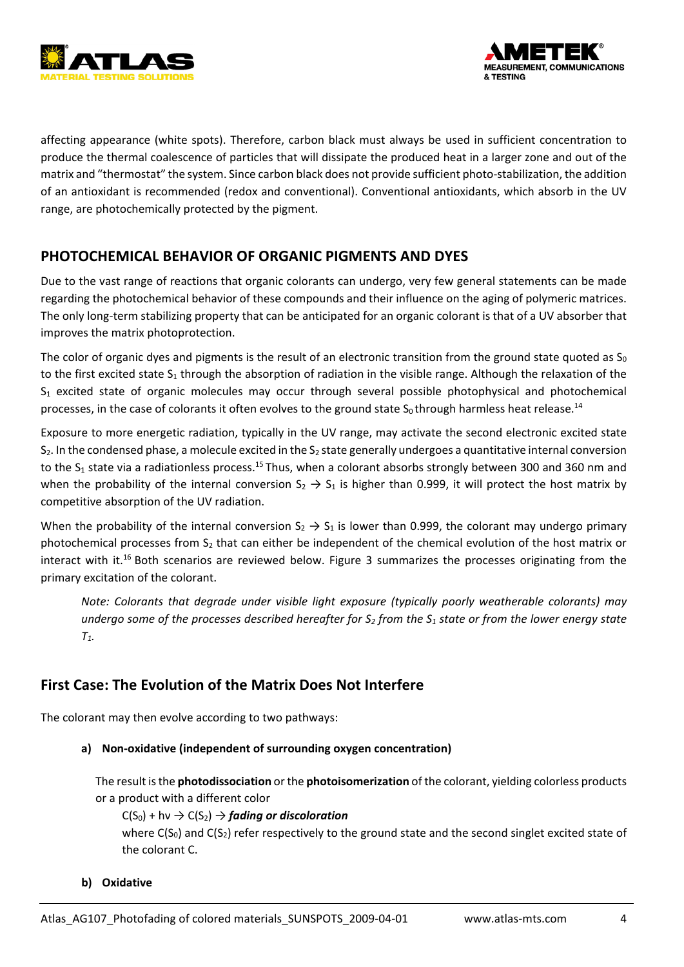



affecting appearance (white spots). Therefore, carbon black must always be used in sufficient concentration to produce the thermal coalescence of particles that will dissipate the produced heat in a larger zone and out of the matrix and "thermostat" the system. Since carbon black does not provide sufficient photo-stabilization, the addition of an antioxidant is recommended (redox and conventional). Conventional antioxidants, which absorb in the UV range, are photochemically protected by the pigment.

# **PHOTOCHEMICAL BEHAVIOR OF ORGANIC PIGMENTS AND DYES**

Due to the vast range of reactions that organic colorants can undergo, very few general statements can be made regarding the photochemical behavior of these compounds and their influence on the aging of polymeric matrices. The only long-term stabilizing property that can be anticipated for an organic colorant is that of a UV absorber that improves the matrix photoprotection.

The color of organic dyes and pigments is the result of an electronic transition from the ground state quoted as  $S_0$ to the first excited state  $S_1$  through the absorption of radiation in the visible range. Although the relaxation of the S1 excited state of organic molecules may occur through several possible photophysical and photochemical processes, in the case of colorants it often evolves to the ground state  $S_0$  through harmless heat release.<sup>14</sup>

Exposure to more energetic radiation, typically in the UV range, may activate the second electronic excited state  $S_2$ . In the condensed phase, a molecule excited in the  $S_2$  state generally undergoes a quantitative internal conversion to the  $S_1$  state via a radiationless process.<sup>15</sup> Thus, when a colorant absorbs strongly between 300 and 360 nm and when the probability of the internal conversion  $S_2 \to S_1$  is higher than 0.999, it will protect the host matrix by competitive absorption of the UV radiation.

When the probability of the internal conversion  $S_2 \to S_1$  is lower than 0.999, the colorant may undergo primary photochemical processes from  $S_2$  that can either be independent of the chemical evolution of the host matrix or interact with it.16 Both scenarios are reviewed below. Figure 3 summarizes the processes originating from the primary excitation of the colorant.

*Note: Colorants that degrade under visible light exposure (typically poorly weatherable colorants) may undergo some of the processes described hereafter for S2 from the S1 state or from the lower energy state T1.*

## **First Case: The Evolution of the Matrix Does Not Interfere**

The colorant may then evolve according to two pathways:

**a) Non-oxidative (independent of surrounding oxygen concentration)** 

 The result is the **photodissociation** or the **photoisomerization** of the colorant, yielding colorless products or a product with a different color

 $C(S_0)$  + hv  $\rightarrow$   $C(S_2)$   $\rightarrow$  *fading or discoloration* 

where  $C(S_0)$  and  $C(S_2)$  refer respectively to the ground state and the second singlet excited state of the colorant C.

**b) Oxidative**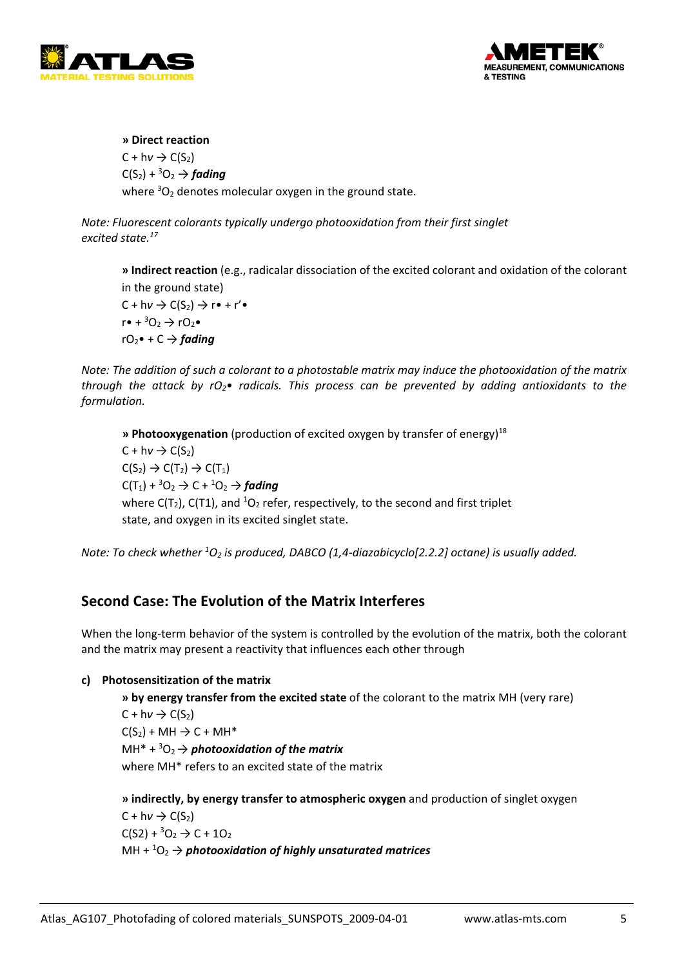



**» Direct reaction**  $C + h\nu \rightarrow C(S_2)$ C(S2) + <sup>3</sup> O2 → *fading* where <sup>3</sup>O<sub>2</sub> denotes molecular oxygen in the ground state.

*Note: Fluorescent colorants typically undergo photooxidation from their first singlet excited state.17*

**» Indirect reaction** (e.g., radicalar dissociation of the excited colorant and oxidation of the colorant in the ground state)  $C + h\nu \rightarrow C(S_2) \rightarrow r \cdot + r' \cdot$  $r \bullet + ^3O_2 \rightarrow rO_2 \bullet$  $rO_2\bullet + C \rightarrow$  *fading* 

*Note: The addition of such a colorant to a photostable matrix may induce the photooxidation of the matrix through the attack by rO2• radicals. This process can be prevented by adding antioxidants to the formulation.*

**» Photooxygenation** (production of excited oxygen by transfer of energy)18  $C + h\nu \rightarrow C(S_2)$  $C(S_2) \rightarrow C(T_2) \rightarrow C(T_1)$  $C(T_1) + {}^3O_2 \rightarrow C + {}^1O_2 \rightarrow$  **fading** where C(T<sub>2</sub>), C(T1), and  $^{1}$ O<sub>2</sub> refer, respectively, to the second and first triplet state, and oxygen in its excited singlet state.

*Note: To check whether 1 O2 is produced, DABCO (1,4-diazabicyclo[2.2.2] octane) is usually added.*

# **Second Case: The Evolution of the Matrix Interferes**

When the long-term behavior of the system is controlled by the evolution of the matrix, both the colorant and the matrix may present a reactivity that influences each other through

#### **c) Photosensitization of the matrix**

**» by energy transfer from the excited state** of the colorant to the matrix MH (very rare)  $C + h\nu \rightarrow C(S_2)$  $C(S_2)$  + MH  $\rightarrow$  C + MH<sup>\*</sup>  $MH^* + {^3O_2} \rightarrow$  photooxidation of the matrix where MH\* refers to an excited state of the matrix

**» indirectly, by energy transfer to atmospheric oxygen** and production of singlet oxygen  $C + h\nu \rightarrow C(S_2)$  $C(S2) + {^3O_2} \rightarrow C + 1O_2$ MH +  $^1\mathrm{O}_2$   $\rightarrow$   $\bm{p}$ hotooxidation of highly unsaturated matrices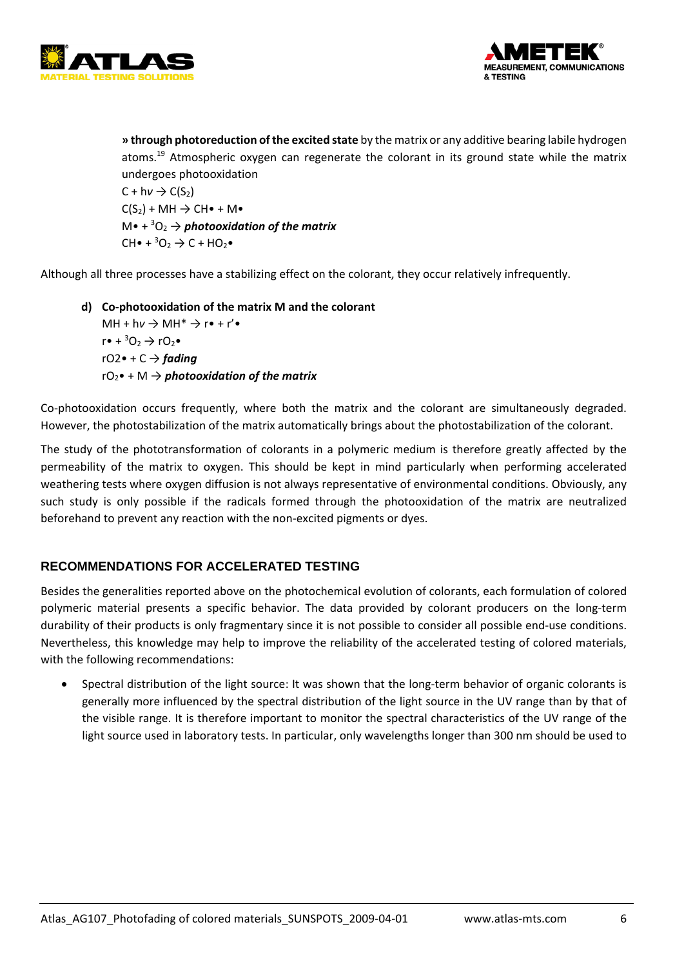



**» through photoreduction of the excited state** by the matrix or any additive bearing labile hydrogen atoms.<sup>19</sup> Atmospheric oxygen can regenerate the colorant in its ground state while the matrix undergoes photooxidation  $C + h\nu \rightarrow C(S_2)$ 

 $C(S_2)$  + MH  $\rightarrow$  CH $\bullet$  + M $\bullet$ M $\bullet$  +  $^3$ O $_2$   $\to$   $photooxidation$  of the matrix  $CH\bullet + ^3O_2 \rightarrow C + HO_2\bullet$ 

Although all three processes have a stabilizing effect on the colorant, they occur relatively infrequently.

**d) Co-photooxidation of the matrix M and the colorant** MH + h*ν* → MH\* → r• + r'•  $r \bullet + ^3O_2 \rightarrow rO_2 \bullet$ rO2 $\bullet$  + C  $\rightarrow$  *fading*  $rO_2\bullet + M \rightarrow$  photooxidation of the matrix

Co-photooxidation occurs frequently, where both the matrix and the colorant are simultaneously degraded. However, the photostabilization of the matrix automatically brings about the photostabilization of the colorant.

The study of the phototransformation of colorants in a polymeric medium is therefore greatly affected by the permeability of the matrix to oxygen. This should be kept in mind particularly when performing accelerated weathering tests where oxygen diffusion is not always representative of environmental conditions. Obviously, any such study is only possible if the radicals formed through the photooxidation of the matrix are neutralized beforehand to prevent any reaction with the non-excited pigments or dyes.

#### **RECOMMENDATIONS FOR ACCELERATED TESTING**

Besides the generalities reported above on the photochemical evolution of colorants, each formulation of colored polymeric material presents a specific behavior. The data provided by colorant producers on the long-term durability of their products is only fragmentary since it is not possible to consider all possible end-use conditions. Nevertheless, this knowledge may help to improve the reliability of the accelerated testing of colored materials, with the following recommendations:

• Spectral distribution of the light source: It was shown that the long-term behavior of organic colorants is generally more influenced by the spectral distribution of the light source in the UV range than by that of the visible range. It is therefore important to monitor the spectral characteristics of the UV range of the light source used in laboratory tests. In particular, only wavelengths longer than 300 nm should be used to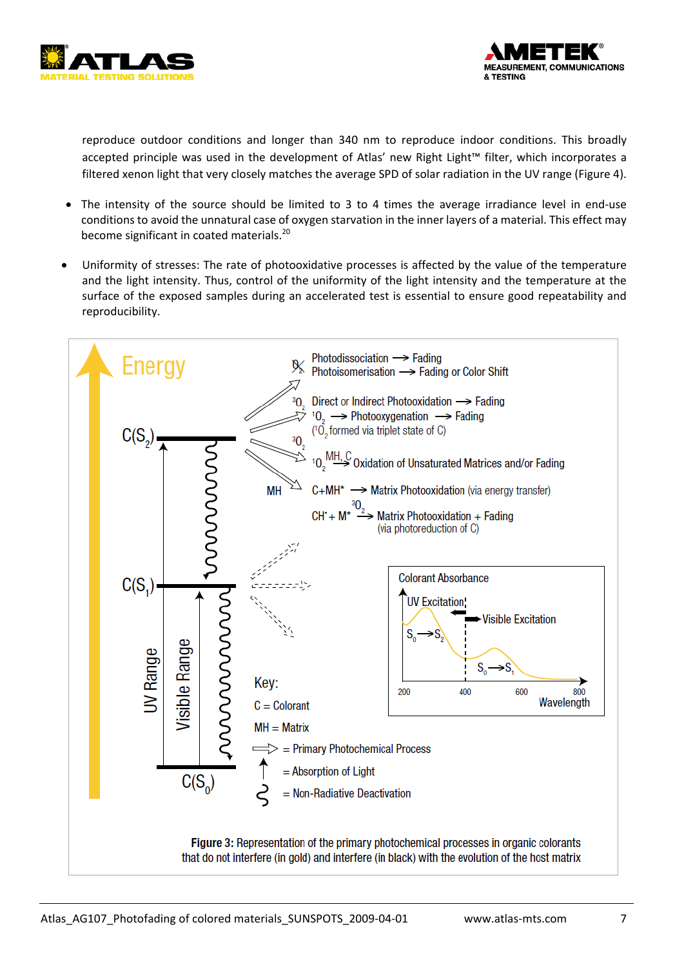



reproduce outdoor conditions and longer than 340 nm to reproduce indoor conditions. This broadly accepted principle was used in the development of Atlas' new Right Light™ filter, which incorporates a filtered xenon light that very closely matches the average SPD of solar radiation in the UV range (Figure 4).

- The intensity of the source should be limited to 3 to 4 times the average irradiance level in end-use conditions to avoid the unnatural case of oxygen starvation in the inner layers of a material. This effect may become significant in coated materials.<sup>20</sup>
- Uniformity of stresses: The rate of photooxidative processes is affected by the value of the temperature and the light intensity. Thus, control of the uniformity of the light intensity and the temperature at the surface of the exposed samples during an accelerated test is essential to ensure good repeatability and reproducibility.

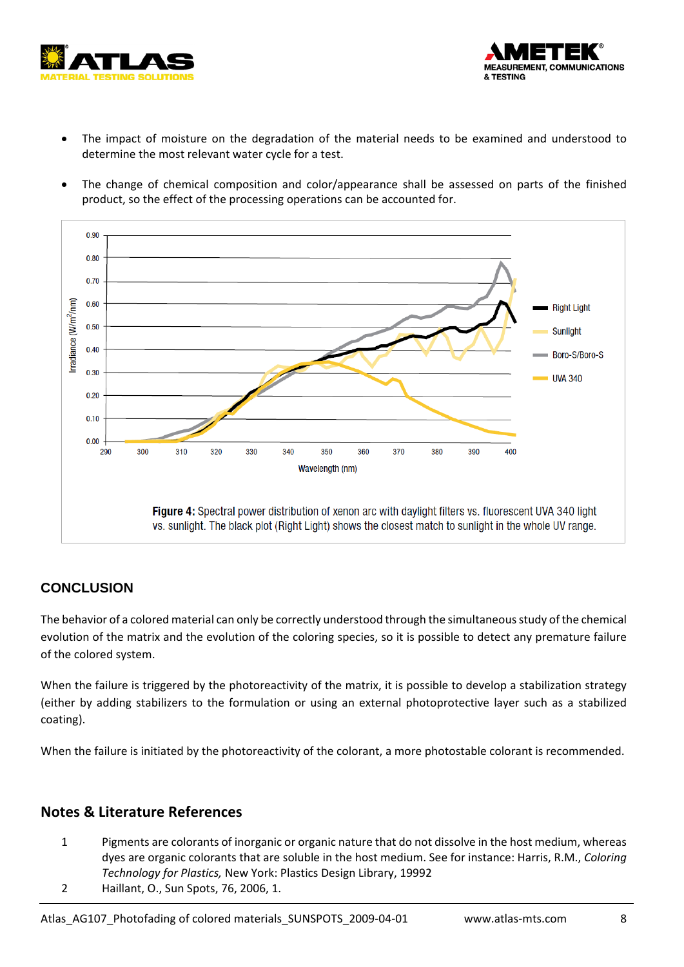



- The impact of moisture on the degradation of the material needs to be examined and understood to determine the most relevant water cycle for a test.
- The change of chemical composition and color/appearance shall be assessed on parts of the finished product, so the effect of the processing operations can be accounted for.



## **CONCLUSION**

The behavior of a colored material can only be correctly understood through the simultaneous study of the chemical evolution of the matrix and the evolution of the coloring species, so it is possible to detect any premature failure of the colored system.

When the failure is triggered by the photoreactivity of the matrix, it is possible to develop a stabilization strategy (either by adding stabilizers to the formulation or using an external photoprotective layer such as a stabilized coating).

When the failure is initiated by the photoreactivity of the colorant, a more photostable colorant is recommended.

#### **Notes & Literature References**

- 1 Pigments are colorants of inorganic or organic nature that do not dissolve in the host medium, whereas dyes are organic colorants that are soluble in the host medium. See for instance: Harris, R.M., *Coloring Technology for Plastics,* New York: Plastics Design Library, 19992
- 2 Haillant, O., Sun Spots, 76, 2006, 1.